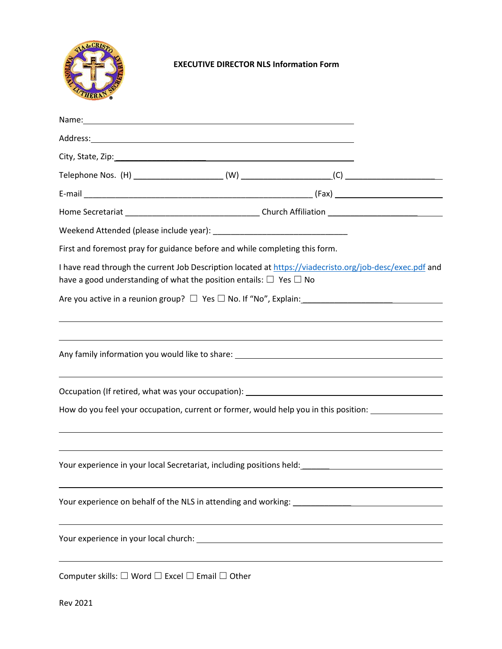

## **EXECUTIVE DIRECTOR NLS Information Form**

| Name: Name and the second contract of the second contract of the second contract of the second contract of the second contract of the second contract of the second contract of the second contract of the second contract of  |  |  |
|--------------------------------------------------------------------------------------------------------------------------------------------------------------------------------------------------------------------------------|--|--|
| Address: Andreas Address: Address: Address: Address: Address: Address: Address: Address: Address: Address: Address: Address: Address: Address: Address: Address: Address: Address: Address: Address: Address: Address: Address |  |  |
|                                                                                                                                                                                                                                |  |  |
|                                                                                                                                                                                                                                |  |  |
|                                                                                                                                                                                                                                |  |  |
|                                                                                                                                                                                                                                |  |  |
|                                                                                                                                                                                                                                |  |  |
| First and foremost pray for guidance before and while completing this form.                                                                                                                                                    |  |  |
| I have read through the current Job Description located at https://viadecristo.org/job-desc/exec.pdf and<br>have a good understanding of what the position entails: $\Box$ Yes $\Box$ No                                       |  |  |
|                                                                                                                                                                                                                                |  |  |
|                                                                                                                                                                                                                                |  |  |
|                                                                                                                                                                                                                                |  |  |
|                                                                                                                                                                                                                                |  |  |
| How do you feel your occupation, current or former, would help you in this position:                                                                                                                                           |  |  |
|                                                                                                                                                                                                                                |  |  |
| Your experience in your local Secretariat, including positions held: ______________________________                                                                                                                            |  |  |
| Your experience on behalf of the NLS in attending and working: __________________                                                                                                                                              |  |  |
| Your experience in your local church: National Contract of the contract of the contract of the contract of the                                                                                                                 |  |  |
|                                                                                                                                                                                                                                |  |  |

Computer skills:  $\Box$  Word  $\Box$  Excel  $\Box$  Email  $\Box$  Other

Rev 2021